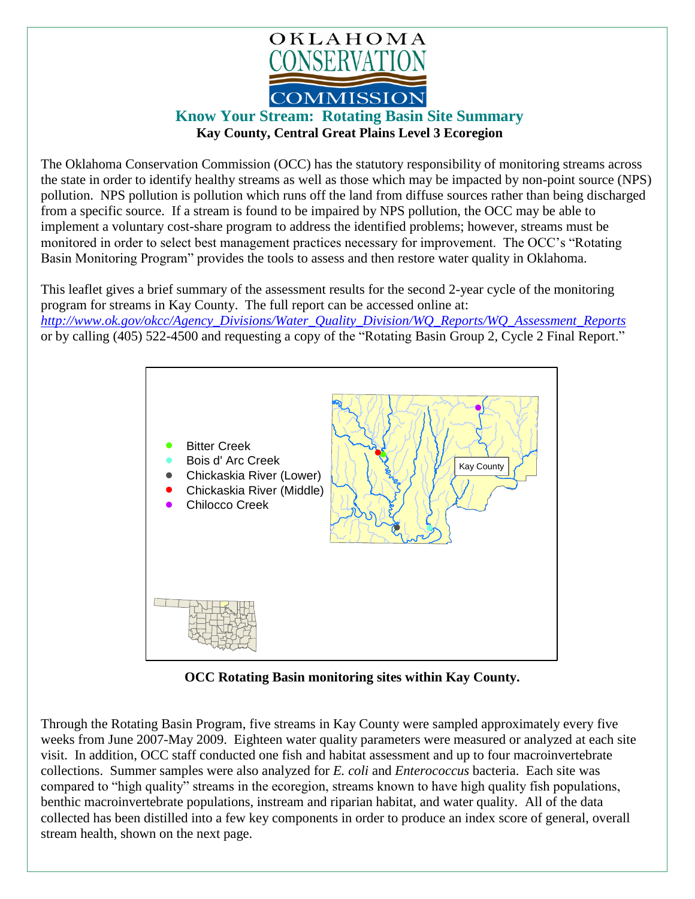

## **Know Your Stream: Rotating Basin Site Summary Kay County, Central Great Plains Level 3 Ecoregion**

The Oklahoma Conservation Commission (OCC) has the statutory responsibility of monitoring streams across the state in order to identify healthy streams as well as those which may be impacted by non-point source (NPS) pollution. NPS pollution is pollution which runs off the land from diffuse sources rather than being discharged from a specific source. If a stream is found to be impaired by NPS pollution, the OCC may be able to implement a voluntary cost-share program to address the identified problems; however, streams must be monitored in order to select best management practices necessary for improvement. The OCC's "Rotating Basin Monitoring Program" provides the tools to assess and then restore water quality in Oklahoma.

This leaflet gives a brief summary of the assessment results for the second 2-year cycle of the monitoring program for streams in Kay County. The full report can be accessed online at: *[http://www.ok.gov/okcc/Agency\\_Divisions/Water\\_Quality\\_Division/WQ\\_Reports/WQ\\_Assessment\\_Reports](http://www.ok.gov/okcc/Agency_Divisions/Water_Quality_Division/WQ_Reports/WQ_Assessment_Reports)* or by calling (405) 522-4500 and requesting a copy of the "Rotating Basin Group 2, Cycle 2 Final Report."



**OCC Rotating Basin monitoring sites within Kay County.**

Through the Rotating Basin Program, five streams in Kay County were sampled approximately every five weeks from June 2007-May 2009. Eighteen water quality parameters were measured or analyzed at each site visit. In addition, OCC staff conducted one fish and habitat assessment and up to four macroinvertebrate collections. Summer samples were also analyzed for *E. coli* and *Enterococcus* bacteria. Each site was compared to "high quality" streams in the ecoregion, streams known to have high quality fish populations, benthic macroinvertebrate populations, instream and riparian habitat, and water quality. All of the data collected has been distilled into a few key components in order to produce an index score of general, overall stream health, shown on the next page.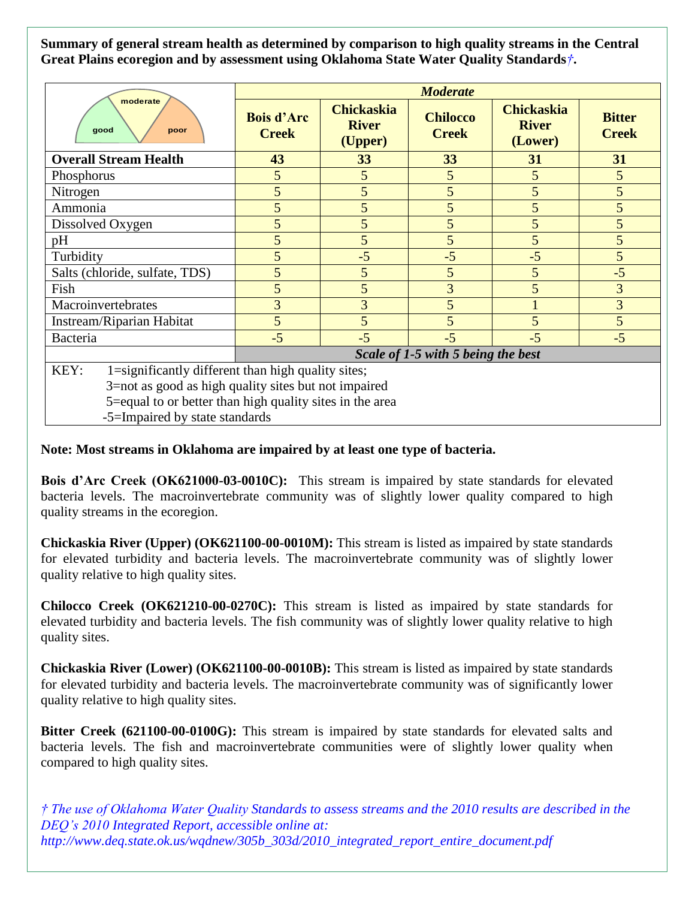**Summary of general stream health as determined by comparison to high quality streams in the Central Great Plains ecoregion and by assessment using Oklahoma State Water Quality Standards***†***.**

| moderate<br>good<br>poor                                   | <b>Moderate</b>                    |                                              |                                 |                                              |                               |
|------------------------------------------------------------|------------------------------------|----------------------------------------------|---------------------------------|----------------------------------------------|-------------------------------|
|                                                            | <b>Bois d'Arc</b><br><b>Creek</b>  | <b>Chickaskia</b><br><b>River</b><br>(Upper) | <b>Chilocco</b><br><b>Creek</b> | <b>Chickaskia</b><br><b>River</b><br>(Lower) | <b>Bitter</b><br><b>Creek</b> |
| <b>Overall Stream Health</b>                               | 43                                 | 33                                           | 33                              | 31                                           | 31                            |
| Phosphorus                                                 | 5                                  | 5                                            | 5                               | 5                                            | 5                             |
| Nitrogen                                                   | 5                                  | 5                                            | 5                               | 5                                            | 5                             |
| Ammonia                                                    | 5                                  | 5                                            | 5 <sup>5</sup>                  | 5                                            | 5                             |
| Dissolved Oxygen                                           | 5                                  | 5                                            | 5                               | 5                                            | 5                             |
| pH                                                         | 5                                  | 5                                            | 5                               | 5                                            | 5                             |
| Turbidity                                                  | 5                                  | $-5$                                         | $-5$                            | $-5$                                         | 5                             |
| Salts (chloride, sulfate, TDS)                             | 5                                  | 5                                            | 5                               | 5                                            | $-5$                          |
| Fish                                                       | 5                                  | 5                                            | 3                               | 5                                            | $\overline{3}$                |
| Macroinvertebrates                                         | 3                                  | 3                                            | 5                               |                                              | $\overline{3}$                |
| Instream/Riparian Habitat                                  | 5                                  | 5                                            | 5                               | 5                                            | $\overline{5}$                |
| Bacteria                                                   | $-5$                               | $-5$                                         | $-5$                            | $-5$                                         | $-5$                          |
|                                                            | Scale of 1-5 with 5 being the best |                                              |                                 |                                              |                               |
| KEY:<br>1=significantly different than high quality sites; |                                    |                                              |                                 |                                              |                               |
| 3=not as good as high quality sites but not impaired       |                                    |                                              |                                 |                                              |                               |
| 5=equal to or better than high quality sites in the area   |                                    |                                              |                                 |                                              |                               |
| -5=Impaired by state standards                             |                                    |                                              |                                 |                                              |                               |

## **Note: Most streams in Oklahoma are impaired by at least one type of bacteria.**

**Bois d'Arc Creek (OK621000-03-0010C):** This stream is impaired by state standards for elevated bacteria levels. The macroinvertebrate community was of slightly lower quality compared to high quality streams in the ecoregion.

**Chickaskia River (Upper) (OK621100-00-0010M):** This stream is listed as impaired by state standards for elevated turbidity and bacteria levels. The macroinvertebrate community was of slightly lower quality relative to high quality sites.

**Chilocco Creek (OK621210-00-0270C):** This stream is listed as impaired by state standards for elevated turbidity and bacteria levels. The fish community was of slightly lower quality relative to high quality sites.

**Chickaskia River (Lower) (OK621100-00-0010B):** This stream is listed as impaired by state standards for elevated turbidity and bacteria levels. The macroinvertebrate community was of significantly lower quality relative to high quality sites.

**Bitter Creek (621100-00-0100G):** This stream is impaired by state standards for elevated salts and bacteria levels. The fish and macroinvertebrate communities were of slightly lower quality when compared to high quality sites.

*† The use of Oklahoma Water Quality Standards to assess streams and the 2010 results are described in the DEQ's 2010 Integrated Report, accessible online at: http://www.deq.state.ok.us/wqdnew/305b\_303d/2010\_integrated\_report\_entire\_document.pdf*